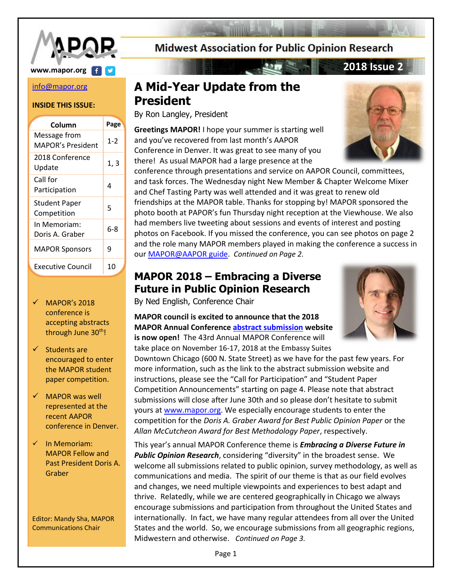

# **www.mapor.org 2018 Issue 2**

#### [info@mapor.org](mailto:info@mapor.org)

#### **INSIDE THIS ISSUE:**

| Column                              | Page    |
|-------------------------------------|---------|
| Message from<br>MAPOR's President   | $1 - 2$ |
| 2018 Conference<br>Update           | 1, 3    |
| Call for<br>Participation           | 4       |
| <b>Student Paper</b><br>Competition | 5       |
| In Memoriam:<br>Doris A. Graber     | 6-8     |
| <b>MAPOR Sponsors</b>               | 9       |
| Executive Council                   | 10      |

- $\checkmark$  MAPOR's 2018 conference is accepting abstracts through June 30<sup>th</sup>!
- $\checkmark$  Students are encouraged to enter the MAPOR student paper competition.
- $\checkmark$  MAPOR was well represented at the recent AAPOR conference in Denver.
- $\checkmark$  In Memoriam: MAPOR Fellow and Past President Doris A. Graber

Editor: Mandy Sha, MAPOR Communications Chair

# **Midwest Association for Public Opinion Research**

# **A Mid-Year Update from the President**

By Ron Langley, President

**Greetings MAPOR!** I hope your summer is starting well and you've recovered from last month's AAPOR Conference in Denver. It was great to see many of you there! As usual MAPOR had a large presence at the

conference through presentations and service on AAPOR Council, committees, and task forces. The Wednesday night New Member & Chapter Welcome Mixer and Chef Tasting Party was well attended and it was great to renew old friendships at the MAPOR table. Thanks for stopping by! MAPOR sponsored the photo booth at PAPOR's fun Thursday night reception at the Viewhouse. We also had members live tweeting about sessions and events of interest and posting photos on Facebook. If you missed the conference, you can see photos on page 2 and the role many MAPOR members played in making the conference a success in ou[r MAPOR@AAPOR guide.](http://mapor.org/documents/MAPORatAAPOR2018.pdf) *Continued on Page 2.*

# **MAPOR 2018 – Embracing a Diverse Future in Public Opinion Research**

By Ned English, Conference Chair

**MAPOR council is excited to announce that the 2018 MAPOR Annual Conferenc[e abstract submission](http://www.mapor.org/2018-annual-conference/) website is now open!** The 43rd Annual MAPOR Conference will take place on November 16-17, 2018 at the Embassy Suites

Downtown Chicago (600 N. State Street) as we have for the past few years. For more information, such as the link to the abstract submission website and instructions, please see the "Call for Participation" and "Student Paper Competition Announcements" starting on page 4. Please note that abstract submissions will close after June 30th and so please don't hesitate to submit yours at [www.mapor.org.](http://www.mapor.org/) We especially encourage students to enter the competition for the *Doris A. Graber Award for Best Public Opinion Paper* or the *Allan McCutcheon Award for Best Methodology Paper*, respectively.

This year's annual MAPOR Conference theme is *Embracing a Diverse Future in Public Opinion Research*, considering "diversity" in the broadest sense. We welcome all submissions related to public opinion, survey methodology, as well as communications and media. The spirit of our theme is that as our field evolves and changes, we need multiple viewpoints and experiences to best adapt and thrive. Relatedly, while we are centered geographically in Chicago we always encourage submissions and participation from throughout the United States and internationally. In fact, we have many regular attendees from all over the United States and the world. So, we encourage submissions from all geographic regions, Midwestern and otherwise. *Continued on Page 3.*





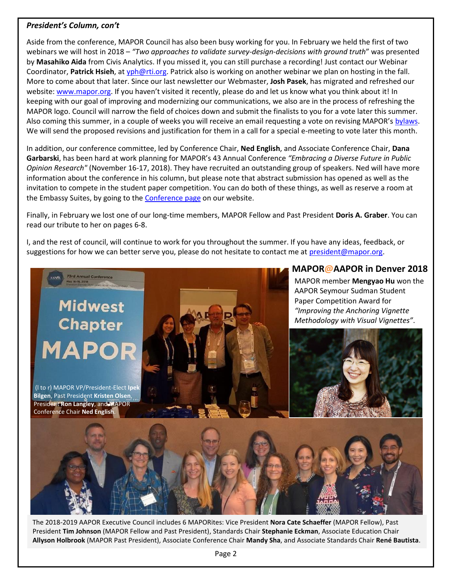#### *President's Column, con't*

Aside from the conference, MAPOR Council has also been busy working for you. In February we held the first of two webinars we will host in 2018 – *"Two approaches to validate survey-design-decisions with ground truth*" was presented by **Masahiko Aida** from Civis Analytics. If you missed it, you can still purchase a recording! Just contact our Webinar Coordinator, **Patrick Hsieh**, a[t yph@rti.org.](mailto:yph@rti.org) Patrick also is working on another webinar we plan on hosting in the fall. More to come about that later. Since our last newsletter our Webmaster, **Josh Pasek**, has migrated and refreshed our website[: www.mapor.org](http://www.mapor.org/). If you haven't visited it recently, please do and let us know what you think about it! In keeping with our goal of improving and modernizing our communications, we also are in the process of refreshing the MAPOR logo. Council will narrow the field of choices down and submit the finalists to you for a vote later this summer. Also coming this summer, in a couple of weeks you will receive an email requesting a vote on revising MAPOR's [bylaws.](http://www.mapor.org/about/bylaws/) We will send the proposed revisions and justification for them in a call for a special e-meeting to vote later this month.

In addition, our conference committee, led by Conference Chair, **Ned English**, and Associate Conference Chair, **Dana Garbarski**, has been hard at work planning for MAPOR's 43 Annual Conference *"Embracing a Diverse Future in Public Opinion Research"* (November 16-17, 2018). They have recruited an outstanding group of speakers. Ned will have more information about the conference in his column, but please note that abstract submission has opened as well as the invitation to compete in the student paper competition. You can do both of these things, as well as reserve a room at the Embassy Suites, by going to the [Conference page](http://www.mapor.org/2018-annual-conference/) on our website.

Finally, in February we lost one of our long-time members, MAPOR Fellow and Past President **Doris A. Graber**. You can read our tribute to her on pages 6-8.

I, and the rest of council, will continue to work for you throughout the summer. If you have any ideas, feedback, or suggestions for how we can better serve you, please do not hesitate to contact me at [president@mapor.org.](mailto:president@mapor.org)



The 2018-2019 AAPOR Executive Council includes 6 MAPORites: Vice President **Nora Cate Schaeffer** (MAPOR Fellow), Past President **Tim Johnson** (MAPOR Fellow and Past President), Standards Chair **Stephanie Eckman**, Associate Education Chair **Allyson Holbrook** (MAPOR Past President), Associate Conference Chair **Mandy Sha**, and Associate Standards Chair **René Bautista**.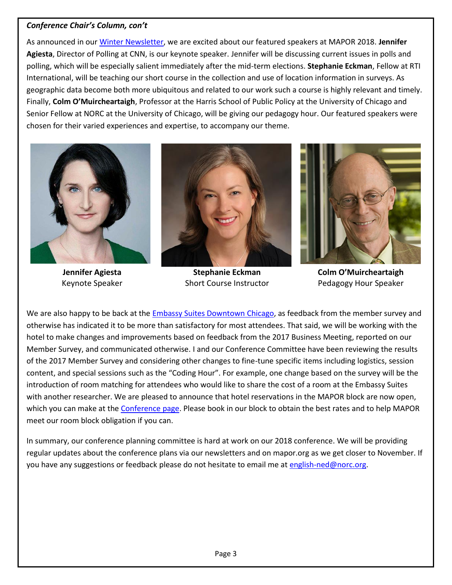### *Conference Chair's Column, con't*

As announced in ou[r Winter Newsletter,](http://www.mapor.org/newsletters/MAPOR_Newsletter_02_2018.pdf) we are excited about our featured speakers at MAPOR 2018. **Jennifer Agiesta**, Director of Polling at CNN, is our keynote speaker. Jennifer will be discussing current issues in polls and polling, which will be especially salient immediately after the mid-term elections. **Stephanie Eckman**, Fellow at RTI International, will be teaching our short course in the collection and use of location information in surveys. As geographic data become both more ubiquitous and related to our work such a course is highly relevant and timely. Finally, **Colm O'Muircheartaigh**, Professor at the Harris School of Public Policy at the University of Chicago and Senior Fellow at NORC at the University of Chicago, will be giving our pedagogy hour. Our featured speakers were chosen for their varied experiences and expertise, to accompany our theme.



**Jennifer Agiesta** Keynote Speaker



**Stephanie Eckman** Short Course Instructor



**Colm O'Muircheartaigh** Pedagogy Hour Speaker

We are also happy to be back at the [Embassy Suites Downtown Chicago,](http://embassysuites3.hilton.com/en/hotels/illinois/embassy-suites-by-hilton-chicago-downtown-CHIDWES/index.html) as feedback from the member survey and otherwise has indicated it to be more than satisfactory for most attendees. That said, we will be working with the hotel to make changes and improvements based on feedback from the 2017 Business Meeting, reported on our Member Survey, and communicated otherwise. I and our Conference Committee have been reviewing the results of the 2017 Member Survey and considering other changes to fine-tune specific items including logistics, session content, and special sessions such as the "Coding Hour". For example, one change based on the survey will be the introduction of room matching for attendees who would like to share the cost of a room at the Embassy Suites with another researcher. We are pleased to announce that hotel reservations in the MAPOR block are now open, which you can make at the [Conference page.](http://www.mapor.org/2018-annual-conference/) Please book in our block to obtain the best rates and to help MAPOR meet our room block obligation if you can.

In summary, our conference planning committee is hard at work on our 2018 conference. We will be providing regular updates about the conference plans via our newsletters and on mapor.org as we get closer to November. If you have any suggestions or feedback please do not hesitate to email me at [english-ned@norc.org.](mailto:english-ned@norc.org)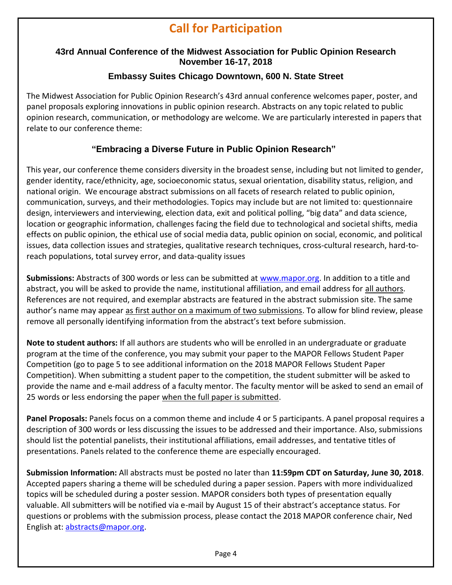# **Call for Participation**

# **43rd Annual Conference of the Midwest Association for Public Opinion Research November 16-17, 2018**

# **Embassy Suites Chicago Downtown, 600 N. State Street**

The Midwest Association for Public Opinion Research's 43rd annual conference welcomes paper, poster, and panel proposals exploring innovations in public opinion research. Abstracts on any topic related to public opinion research, communication, or methodology are welcome. We are particularly interested in papers that relate to our conference theme:

# **"Embracing a Diverse Future in Public Opinion Research"**

This year, our conference theme considers diversity in the broadest sense, including but not limited to gender, gender identity, race/ethnicity, age, socioeconomic status, sexual orientation, disability status, religion, and national origin. We encourage abstract submissions on all facets of research related to public opinion, communication, surveys, and their methodologies. Topics may include but are not limited to: questionnaire design, interviewers and interviewing, election data, exit and political polling, "big data" and data science, location or geographic information, challenges facing the field due to technological and societal shifts, media effects on public opinion, the ethical use of social media data, public opinion on social, economic, and political issues, data collection issues and strategies, qualitative research techniques, cross-cultural research, hard-toreach populations, total survey error, and data-quality issues

**Submissions:** Abstracts of 300 words or less can be submitted at [www.mapor.org.](http://www.mapor.org/) In addition to a title and abstract, you will be asked to provide the name, institutional affiliation, and email address for all authors. References are not required, and exemplar abstracts are featured in the abstract submission site. The same author's name may appear as first author on a maximum of two submissions. To allow for blind review, please remove all personally identifying information from the abstract's text before submission.

**Note to student authors:** If all authors are students who will be enrolled in an undergraduate or graduate program at the time of the conference, you may submit your paper to the MAPOR Fellows Student Paper Competition (go to page 5 to see additional information on the 2018 MAPOR Fellows Student Paper Competition). When submitting a student paper to the competition, the student submitter will be asked to provide the name and e-mail address of a faculty mentor. The faculty mentor will be asked to send an email of 25 words or less endorsing the paper when the full paper is submitted.

**Panel Proposals:** Panels focus on a common theme and include 4 or 5 participants. A panel proposal requires a description of 300 words or less discussing the issues to be addressed and their importance. Also, submissions should list the potential panelists, their institutional affiliations, email addresses, and tentative titles of presentations. Panels related to the conference theme are especially encouraged.

**Submission Information:** All abstracts must be posted no later than **11:59pm CDT on Saturday, June 30, 2018**. Accepted papers sharing a theme will be scheduled during a paper session. Papers with more individualized topics will be scheduled during a poster session. MAPOR considers both types of presentation equally valuable. All submitters will be notified via e-mail by August 15 of their abstract's acceptance status. For questions or problems with the submission process, please contact the 2018 MAPOR conference chair, Ned English at[: abstracts@mapor.org.](mailto:abstracts@mapor.org)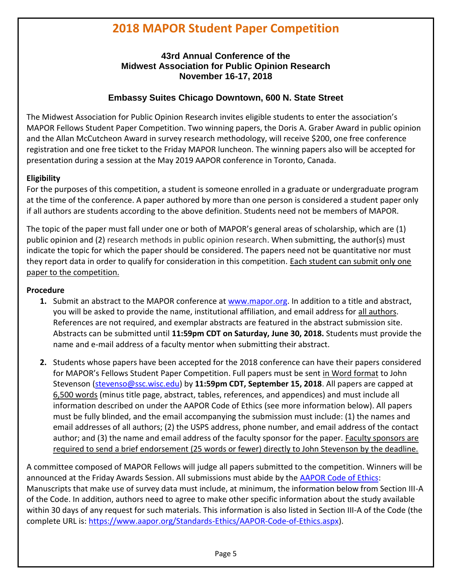# **2018 MAPOR Student Paper Competition**

## **43rd Annual Conference of the Midwest Association for Public Opinion Research November 16-17, 2018**

## **Embassy Suites Chicago Downtown, 600 N. State Street**

The Midwest Association for Public Opinion Research invites eligible students to enter the association's MAPOR Fellows Student Paper Competition. Two winning papers, the Doris A. Graber Award in public opinion and the Allan McCutcheon Award in survey research methodology, will receive \$200, one free conference registration and one free ticket to the Friday MAPOR luncheon. The winning papers also will be accepted for presentation during a session at the May 2019 AAPOR conference in Toronto, Canada.

## **Eligibility**

For the purposes of this competition, a student is someone enrolled in a graduate or undergraduate program at the time of the conference. A paper authored by more than one person is considered a student paper only if all authors are students according to the above definition. Students need not be members of MAPOR.

The topic of the paper must fall under one or both of MAPOR's general areas of scholarship, which are (1) public opinion and (2) research methods in public opinion research. When submitting, the author(s) must indicate the topic for which the paper should be considered. The papers need not be quantitative nor must they report data in order to qualify for consideration in this competition. Each student can submit only one paper to the competition.

#### **Procedure**

- **1.** Submit an abstract to the MAPOR conference at [www.mapor.org.](http://www.mapor.org/) In addition to a title and abstract, you will be asked to provide the name, institutional affiliation, and email address for all authors. References are not required, and exemplar abstracts are featured in the abstract submission site. Abstracts can be submitted until **11:59pm CDT on Saturday, June 30, 2018.** Students must provide the name and e-mail address of a faculty mentor when submitting their abstract.
- **2.** Students whose papers have been accepted for the 2018 conference can have their papers considered for MAPOR's Fellows Student Paper Competition. Full papers must be sent in Word format to John Stevenson [\(stevenso@ssc.wisc.edu\)](mailto:stevenso@ssc.wisc.edu) by **11:59pm CDT, September 15, 2018**. All papers are capped at 6,500 words (minus title page, abstract, tables, references, and appendices) and must include all information described on under the AAPOR Code of Ethics (see more information below). All papers must be fully blinded, and the email accompanying the submission must include: (1) the names and email addresses of all authors; (2) the USPS address, phone number, and email address of the contact author; and (3) the name and email address of the faculty sponsor for the paper. Faculty sponsors are required to send a brief endorsement (25 words or fewer) directly to John Stevenson by the deadline.

A committee composed of MAPOR Fellows will judge all papers submitted to the competition. Winners will be announced at the Friday Awards Session. All submissions must abide by the [AAPOR Code of Ethics:](https://www.aapor.org/Standards-Ethics/AAPOR-Code-of-Ethics.aspx) Manuscripts that make use of survey data must include, at minimum, the information below from Section III-A of the Code. In addition, authors need to agree to make other specific information about the study available within 30 days of any request for such materials. This information is also listed in Section III-A of the Code (the complete URL is: [https://www.aapor.org/Standards-Ethics/AAPOR-Code-of-Ethics.aspx\)](https://www.aapor.org/Standards-Ethics/AAPOR-Code-of-Ethics.aspx).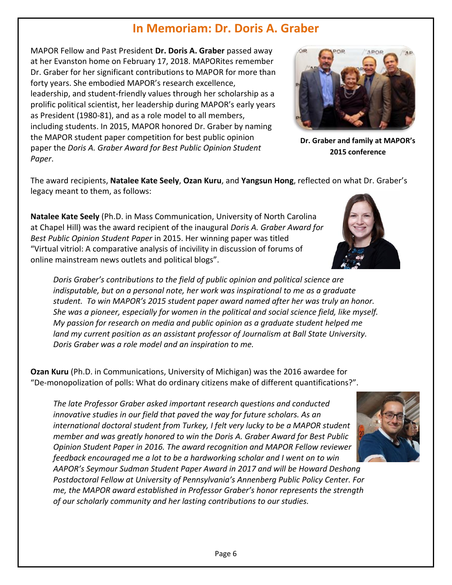# **In Memoriam: Dr. Doris A. Graber**

MAPOR Fellow and Past President **Dr. Doris A. Graber** passed away at her Evanston home on February 17, 2018. MAPORites remember Dr. Graber for her significant contributions to MAPOR for more than forty years. She embodied MAPOR's research excellence, leadership, and student-friendly values through her scholarship as a prolific political scientist, her leadership during MAPOR's early years as President (1980-81), and as a role model to all members, including students. In 2015, MAPOR honored Dr. Graber by naming the MAPOR student paper competition for best public opinion paper the *Doris A. Graber Award for Best Public Opinion Student Paper*.



**Dr. Graber and family at MAPOR's 2015 conference**

The award recipients, **Natalee Kate Seely**, **Ozan Kuru**, and **Yangsun Hong**, reflected on what Dr. Graber's legacy meant to them, as follows:

**Natalee Kate Seely** (Ph.D. in Mass Communication, University of North Carolina at Chapel Hill) was the award recipient of the inaugural *Doris A. Graber Award for Best Public Opinion Student Paper* in 2015. Her winning paper was titled "Virtual vitriol: A comparative analysis of incivility in discussion of forums of online mainstream news outlets and political blogs".

*Doris Graber's contributions to the field of public opinion and political science are indisputable, but on a personal note, her work was inspirational to me as a graduate student. To win MAPOR's 2015 student paper award named after her was truly an honor. She was a pioneer, especially for women in the political and social science field, like myself. My passion for research on media and public opinion as a graduate student helped me land my current position as an assistant professor of Journalism at Ball State University. Doris Graber was a role model and an inspiration to me.*

**Ozan Kuru** (Ph.D. in Communications, University of Michigan) was the 2016 awardee for "De-monopolization of polls: What do ordinary citizens make of different quantifications?".

*The late Professor Graber asked important research questions and conducted innovative studies in our field that paved the way for future scholars. As an international doctoral student from Turkey, I felt very lucky to be a MAPOR student member and was greatly honored to win the Doris A. Graber Award for Best Public Opinion Student Paper in 2016. The award recognition and MAPOR Fellow reviewer feedback encouraged me a lot to be a hardworking scholar and I went on to win* 

*AAPOR's Seymour Sudman Student Paper Award in 2017 and will be Howard Deshong Postdoctoral Fellow at University of Pennsylvania's Annenberg Public Policy Center. For me, the MAPOR award established in Professor Graber's honor represents the strength of our scholarly community and her lasting contributions to our studies.*



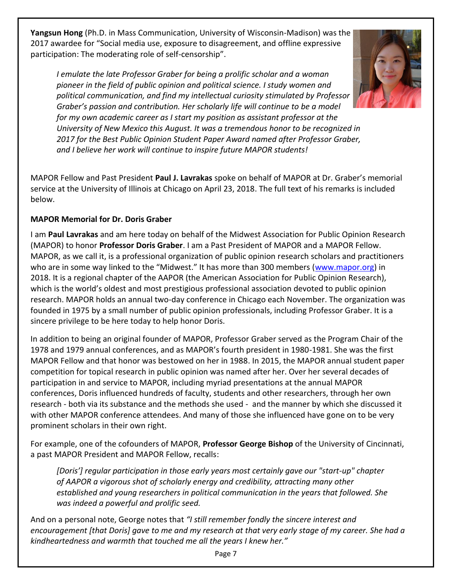**Yangsun Hong** (Ph.D. in Mass Communication, University of Wisconsin-Madison) was the 2017 awardee for "Social media use, exposure to disagreement, and offline expressive participation: The moderating role of self-censorship".

*I emulate the late Professor Graber for being a prolific scholar and a woman pioneer in the field of public opinion and political science. I study women and political communication, and find my intellectual curiosity stimulated by Professor Graber's passion and contribution. Her scholarly life will continue to be a model for my own academic career as I start my position as assistant professor at the University of New Mexico this August. It was a tremendous honor to be recognized in 2017 for the Best Public Opinion Student Paper Award named after Professor Graber, and I believe her work will continue to inspire future MAPOR students!*

MAPOR Fellow and Past President **Paul J. Lavrakas** spoke on behalf of MAPOR at Dr. Graber's memorial service at the University of Illinois at Chicago on April 23, 2018. The full text of his remarks is included below.

## **MAPOR Memorial for Dr. Doris Graber**

I am **Paul Lavrakas** and am here today on behalf of the Midwest Association for Public Opinion Research (MAPOR) to honor **Professor Doris Graber**. I am a Past President of MAPOR and a MAPOR Fellow. MAPOR, as we call it, is a professional organization of public opinion research scholars and practitioners who are in some way linked to the "Midwest." It has more than 300 members ([www.mapor.org\)](http://www.mapor.org/) in 2018. It is a regional chapter of the AAPOR (the American Association for Public Opinion Research), which is the world's oldest and most prestigious professional association devoted to public opinion research. MAPOR holds an annual two-day conference in Chicago each November. The organization was founded in 1975 by a small number of public opinion professionals, including Professor Graber. It is a sincere privilege to be here today to help honor Doris.

In addition to being an original founder of MAPOR, Professor Graber served as the Program Chair of the 1978 and 1979 annual conferences, and as MAPOR's fourth president in 1980-1981. She was the first MAPOR Fellow and that honor was bestowed on her in 1988. In 2015, the MAPOR annual student paper competition for topical research in public opinion was named after her. Over her several decades of participation in and service to MAPOR, including myriad presentations at the annual MAPOR conferences, Doris influenced hundreds of faculty, students and other researchers, through her own research - both via its substance and the methods she used - and the manner by which she discussed it with other MAPOR conference attendees. And many of those she influenced have gone on to be very prominent scholars in their own right.

For example, one of the cofounders of MAPOR, **Professor George Bishop** of the University of Cincinnati, a past MAPOR President and MAPOR Fellow, recalls:

*[Doris'] regular participation in those early years most certainly gave our "start-up" chapter of AAPOR a vigorous shot of scholarly energy and credibility, attracting many other established and young researchers in political communication in the years that followed. She was indeed a powerful and prolific seed.*

And on a personal note, George notes that *"I still remember fondly the sincere interest and encouragement [that Doris] gave to me and my research at that very early stage of my career. She had a kindheartedness and warmth that touched me all the years I knew her."*

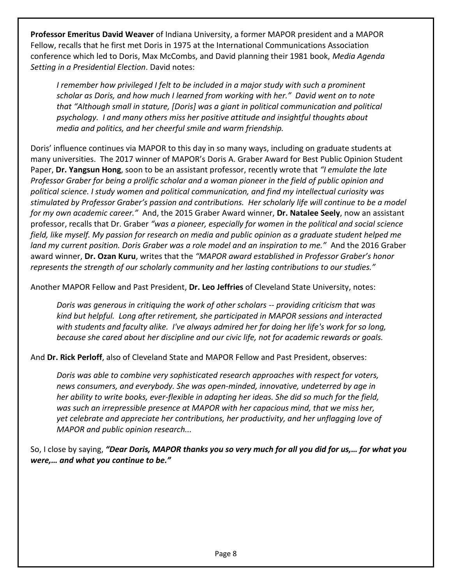**Professor Emeritus David Weaver** of Indiana University, a former MAPOR president and a MAPOR Fellow, recalls that he first met Doris in 1975 at the International Communications Association conference which led to Doris, Max McCombs, and David planning their 1981 book, *Media Agenda Setting in a Presidential Election*. David notes:

*I remember how privileged I felt to be included in a major study with such a prominent scholar as Doris, and how much I learned from working with her." David went on to note that "Although small in stature, [Doris] was a giant in political communication and political psychology. I and many others miss her positive attitude and insightful thoughts about media and politics, and her cheerful smile and warm friendship.*

Doris' influence continues via MAPOR to this day in so many ways, including on graduate students at many universities. The 2017 winner of MAPOR's Doris A. Graber Award for Best Public Opinion Student Paper, **Dr. Yangsun Hong**, soon to be an assistant professor, recently wrote that *"I emulate the late Professor Graber for being a prolific scholar and a woman pioneer in the field of public opinion and political science. I study women and political communication, and find my intellectual curiosity was stimulated by Professor Graber's passion and contributions. Her scholarly life will continue to be a model for my own academic career."* And, the 2015 Graber Award winner, **Dr. Natalee Seely**, now an assistant professor, recalls that Dr. Graber *"was a pioneer, especially for women in the political and social science field, like myself. My passion for research on media and public opinion as a graduate student helped me land my current position. Doris Graber was a role model and an inspiration to me."* And the 2016 Graber award winner, **Dr. Ozan Kuru**, writes that the *"MAPOR award established in Professor Graber's honor represents the strength of our scholarly community and her lasting contributions to our studies."*

Another MAPOR Fellow and Past President, **Dr. Leo Jeffries** of Cleveland State University, notes:

*Doris was generous in critiquing the work of other scholars -- providing criticism that was kind but helpful. Long after retirement, she participated in MAPOR sessions and interacted with students and faculty alike. I've always admired her for doing her life's work for so long, because she cared about her discipline and our civic life, not for academic rewards or goals.*

And **Dr. Rick Perloff**, also of Cleveland State and MAPOR Fellow and Past President, observes:

*Doris was able to combine very sophisticated research approaches with respect for voters, news consumers, and everybody. She was open-minded, innovative, undeterred by age in her ability to write books, ever-flexible in adapting her ideas. She did so much for the field, was such an irrepressible presence at MAPOR with her capacious mind, that we miss her, yet celebrate and appreciate her contributions, her productivity, and her unflagging love of MAPOR and public opinion research...*

## So, I close by saying, *"Dear Doris, MAPOR thanks you so very much for all you did for us,… for what you were,… and what you continue to be."*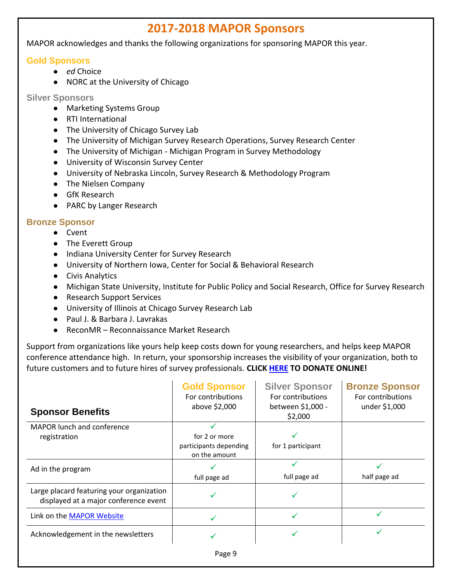# **2017-2018 MAPOR Sponsors**

MAPOR acknowledges and thanks the following organizations for sponsoring MAPOR this year.

## **Gold Sponsors**

- *ed* Choice
- NORC at the University of Chicago

**Silver Sponsors**

- Marketing Systems Group
- RTI International
- The University of Chicago Survey Lab
- The University of Michigan Survey Research Operations, Survey Research Center
- The University of Michigan Michigan Program in Survey Methodology
- University of Wisconsin Survey Center
- University of Nebraska Lincoln, Survey Research & Methodology Program
- The Nielsen Company
- GfK Research
- PARC by Langer Research

## **Bronze Sponsor**

- Cvent
- The Everett Group
- Indiana University Center for Survey Research
- University of Northern Iowa, Center for Social & Behavioral Research
- Civis Analytics
- Michigan State University, Institute for Public Policy and Social Research, Office for Survey Research
- Research Support Services
- University of Illinois at Chicago Survey Research Lab
- Paul J. & Barbara J. Lavrakas
- ReconMR Reconnaissance Market Research

Support from organizations like yours help keep costs down for young researchers, and helps keep MAPOR conference attendance high. In return, your sponsorship increases the visibility of your organization, both to future customers and to future hires of survey professionals. **CLICK [HERE](http://www.mapor.org/sponsorship/) TO DONATE ONLINE!**

| <b>Sponsor Benefits</b>                                                            | <b>Gold Sponsor</b><br>For contributions<br>above \$2,000 | <b>Silver Sponsor</b><br>For contributions<br>between \$1,000 -<br>\$2,000 | <b>Bronze Sponsor</b><br>For contributions<br>under \$1,000 |
|------------------------------------------------------------------------------------|-----------------------------------------------------------|----------------------------------------------------------------------------|-------------------------------------------------------------|
| MAPOR lunch and conference<br>registration                                         | for 2 or more<br>participants depending                   | for 1 participant                                                          |                                                             |
| Ad in the program                                                                  | on the amount                                             |                                                                            |                                                             |
| Large placard featuring your organization<br>displayed at a major conference event | full page ad                                              | full page ad                                                               | half page ad                                                |
| Link on the MAPOR Website                                                          | ✓                                                         |                                                                            |                                                             |
| Acknowledgement in the newsletters                                                 |                                                           |                                                                            |                                                             |